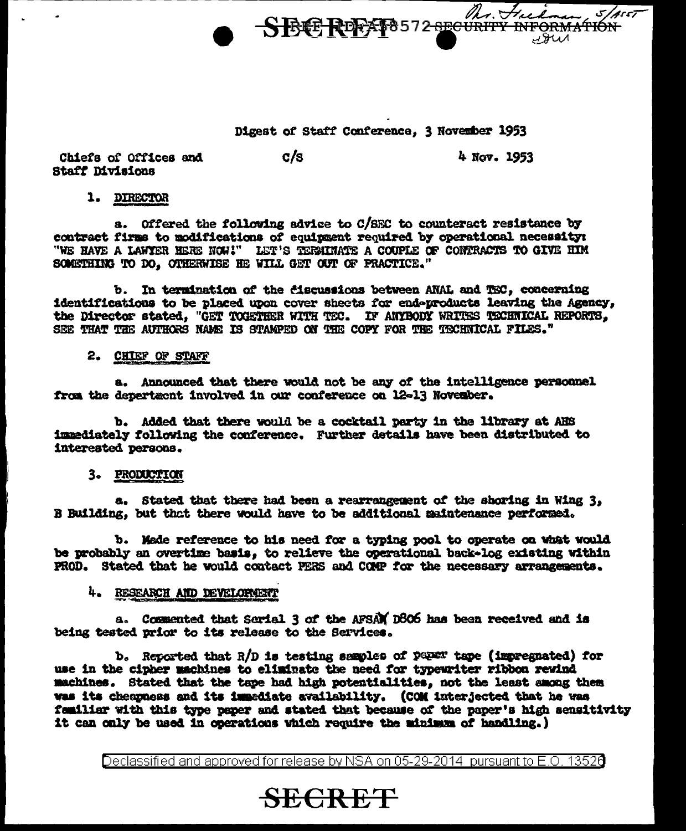

## Digest of Staff Conference, 3 November 1953

 $c/s$ Chiefs of Offices and **Staff Divisions** 

4 Nov. 1953

 $5/$ Ass $7$ 

## 1. DIRECTOR

a. Offered the following advice to C/SEC to counteract resistance by contract firms to modifications of equipment required by operational necessity: "WE HAVE A LAWYER HERE NOW!" LET'S TERMINATE A COUPLE OF CONTRACTS TO GIVE HIM SOMETHING TO DO, OTHERWISE HE WILL GET OUT OF PRACTICE."

b. In termination of the discussions between ANAL and TEC, concerning identifications to be placed upon cover sheets for endoproducts leaving the Agency, the Director stated, "GET TOGETHER WITH TEC. IF ANYBODY WRITES TECHNICAL REPORTS. SEE THAT THE AUTHORS NAME IS STAMPED ON THE COPY FOR THE TECHNICAL FILES."

## 2. CHIEF OF STAFF

a. Announced that there would not be any of the intelligence personnel from the department involved in our conference on 12-13 November.

b. Added that there would be a cocktail party in the library at AHS immediately following the conference. Further details have been distributed to interested persons.

## 3. PRODUCTION

a. Stated that there had been a rearrangement of the shoring in Wing 3, B Building, but that there would have to be additional maintenance performed.

b. Made reference to his need for a typing pool to operate on what would be probably an overtime basis. to relieve the operational back-log existing within PROD. Stated that he would contact PERS and COMP for the necessary arrangements.

## 4. RESEARCH AND DEVELOPMENT

a. Commented that Sorial 3 of the AFSAN D806 has been received and is being tested prior to its release to the Services.

b. Reported that  $R/D$  is testing semples of  $p \in \mathbb{R}^n$  tape (invegnated) for use in the cipher machines to eliminate the need for typewriter ribbon rewind machines. Stated that the tape had high potentialities, not the least among them was its chempness and its immediate availability. (COM interjected that he was familiar with this type paper and stated that because of the paper's high sensitivity it can only be used in operations which require the minimum of handling.)

Declassified and approved for release by NSA on 05-29-2014 pursuant to E.O. 13526

## **SECRET**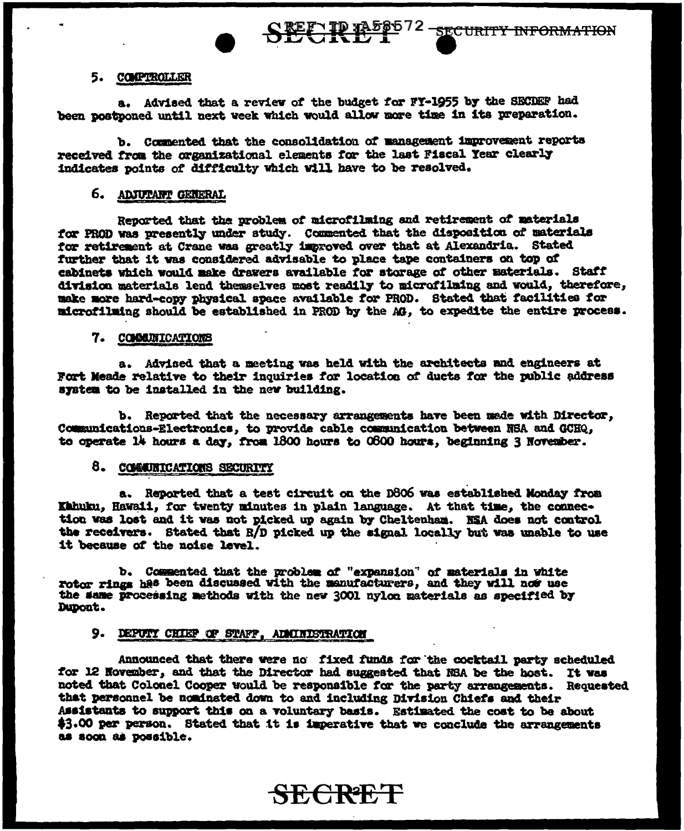## 5. COMPTROLLER

a. Advised that a review of the budget for FY-1955 by the SECDEF had been postponed until next week which would allow more time in its preparation.

b. Commented that the consolidation of management improvement reports received from the organizational elements for the last Fiscal Year clearly indicates points of difficulty which will have to be resolved.

## 6. ADJUTANT GENERAL

Reported that the problem of microfilming and retirement of materials for PROD was presently under study. Commented that the disposition of materials for retirement at Crane was greatly improved over that at Alexandria. Stated further that it was considered advisable to place tape containers on top of cabinets which would make drawers available for storage of other materials. Staff division materials lend themselves most readily to microfilming and would, therefore, make more hard-copy physical space available for PROD. Stated that facilities for microfilming should be established in PROD by the AG, to expedite the entire process.

#### 7. COMMUNICATIONS

a. Advised that a meeting was held with the architects and engineers at Fort Meade relative to their inquiries for location of ducts for the public address system to be installed in the new building.

b. Reported that the necessary arrangements have been made with Director. Communications-Electronics, to provide cable communication between NSA and GCHQ, to operate 14 hours a day, from 1800 hours to 0600 hours, beginning 3 November.

## 8. COMMUNICATIONS SECURITY

a. Reported that a test circuit on the D806 was established Monday from Kahuku, Hawaii, for twenty minutes in plain language. At that time, the connection was lost and it was not picked up again by Cheltenham. NSA does not control the receivers. Stated that R/D picked up the signal locally but was unable to use it because of the noise level.

b. Commented that the problem of "expansion" of materials in white rotor rings has been discussed with the manufacturers, and they will now use the same processing methods with the new 3001 nylon materials as specified by Dupont.

### 9. DEPUTY CHIEF OF STAFF, ADMINISTRATION

Announced that there were no fixed funds for the cocktail party scheduled for 12 November, and that the Director had suggested that NBA be the host. It was noted that Colonel Cooper would be responsible for the party arrangements. Requested that personnel be nominated down to and including Division Chiefs and their Assistants to support this on a voluntary basis. Estimated the cost to be about \$3.00 per person. Stated that it is imperative that we conclude the arrangements as soon as possible.

**SECRET**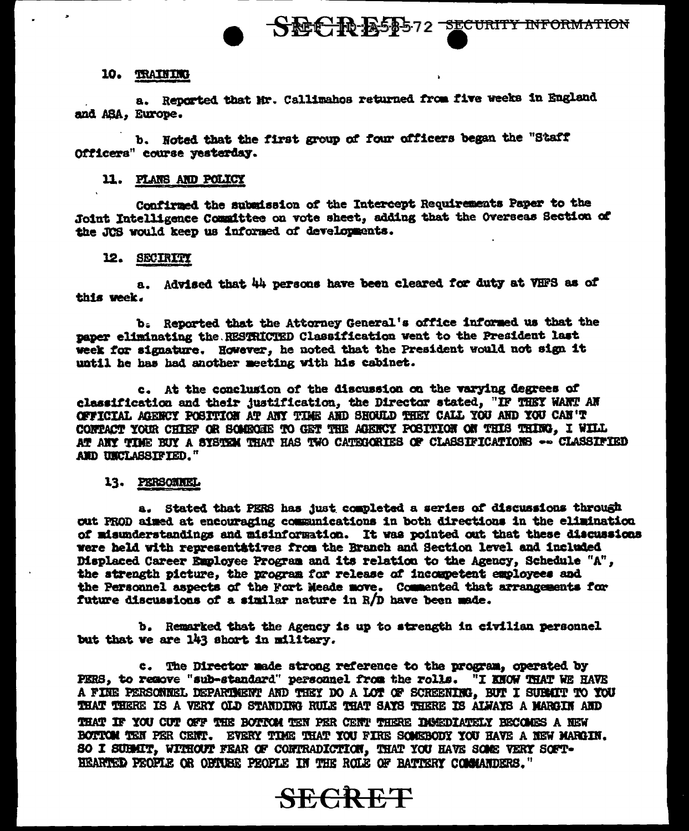## 10. TRAINING

a. Reported that Mr. Callimahos returned from five weeks in England and ASA, Europe.

b. Noted that the first group of four officers began the "Staff Officers" course yesterday.

## 11. PLANS AND POLICY

Confirmed the submission of the Intercept Requirements Paper to the Joint Intelligence Committee on vote sheet, adding that the Overseas Section of the JCS would keep us informed of developments.

## 12. SECIRITY

a. Advised that 44 persons have been cleared for duty at VHFS as of this week.

b. Reported that the Attorney General's office informed us that the paper eliminating the RESTRICTED Classification went to the President last week for signature. However, he noted that the President would not sign it until he has had another meeting with his cabinet.

c. At the conclusion of the discussion on the varying degrees of classification and their justification, the Director stated, "IF THEY WANT AN OFFICIAL AGENCY POSITION AT ANY TIME AND SHOULD THEY CALL YOU AND YOU CAN'T CONTACT YOUR CHIEF OR SOMEONE TO GET THE AGENCY POSITION ON THIS THING. I WILL AT ANY TIME BUY A SYSTEM THAT HAS TWO CATEGORIES OF CLASSIFICATIONS -- CLASSIFIED AND UNCLASSIFIED."

## 13. PERSONNEL

a. Stated that PERS has just completed a series of discussions through out PROD aimed at encouraging communications in both directions in the elimination of misunderstandings and misinformation. It was pointed out that these discussions were held with representatives from the Branch and Section level and included Displaced Career Employee Program and its relation to the Agency, Schedule "A", the strength picture, the program for release of incompetent employees and the Personnel aspects of the Fort Meade move. Commented that arrangements for future discussions of a similar nature in R/D have been made.

b. Remarked that the Agency is up to strength in civilian personnel but that we are 143 short in military.

c. The Director made strong reference to the program, operated by PERS, to remove "sub-standard" personnel from the rolls. "I KNOW THAT WE HAVE A FINE PERSONNEL DEPARTMENT AND THEY DO A LOT OF SCREENING, BUT I SUBMIT TO TOU THAT THERE IS A VERY OLD STANDING RULE THAT SAYS THERE IS ALWAYS A MARGIN AND THAT IF YOU CUT OFF THE BOTTOM TEN PER CENT THERE IMMEDIATELY BECOMES A NEW BOTTOM TEN PER CENT. EVERY TIME THAT YOU FIRE SOMEBODY YOU HAVE A NEW MARGIN. SO I SUBMIT, WITHOUT FEAR OF CONTRADICTION, THAT YOU HAVE SOME VERY SOFT-HEARTED PEOPLE OR OPTUBE PEOPLE IN THE ROLE OF BATTERY COMMANDERS."

# **SECRET**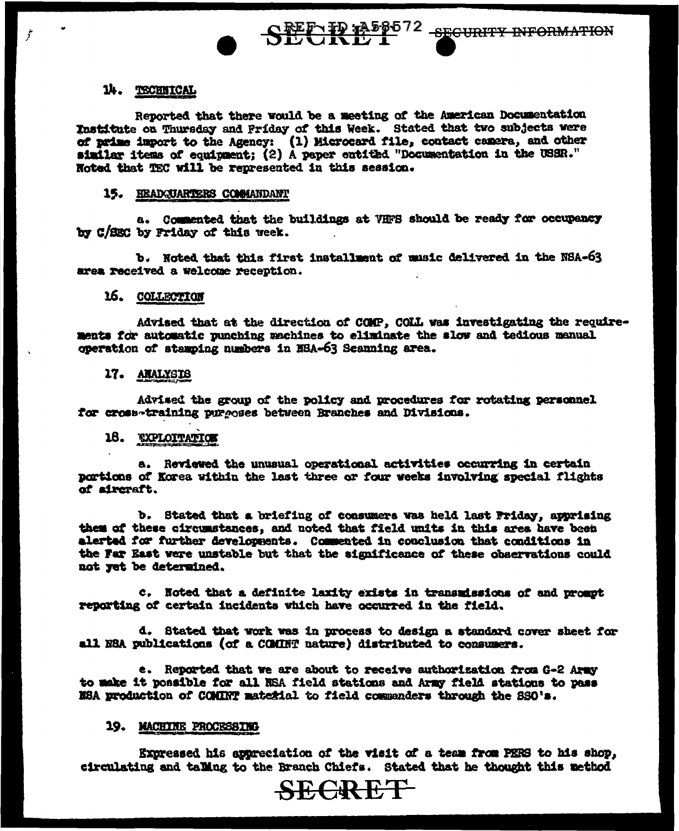SEE IP A56572 SECURITY INFORMATION

## 14. TECHNICAL

 $\dot{r}$ 

Reported that there would be a meeting of the American Documentation Institute on Thursday and Friday of this Week. Stated that two subjects were of prime import to the Agency: (1) Microcard file, contact camera, and other similar items of equipment; (2) A paper eatitled "Documentation in the USSR." Noted that TEC will be represented in this session.

#### 15. HEADQUARTERS COMMANDANT

a. Commented that the buildings at VHFS should be ready for occupancy by C/SEC by Friday of this week.

b. Noted that this first installment of music delivered in the NSA-63 area received a welcome reception.

## 16. COLLECTION

Advised that at the direction of COMP, COLL was investigating the requirements for automatic punching machines to eliminate the slow and tedious manual operation of stamping numbers in NSA-63 Scanning area.

#### 17. AMALYSIS

Advised the group of the policy and procedures for rotating personnel for cross-training purgoses between Branches and Divisions.

## 18. EXPLOITATION

a. Reviewed the unusual operational activities occurring in certain portions of Korea within the last three or four weeks involving special flights of aircraft.

b. Stated that a briefing of consumers was held last Friday, apprising them of these circumstances, and noted that field units in this area have been alerted for further developments. Commented in conclusion that conditions in the Far East were unstable but that the significance of these observations could not yet be determined.

c. Noted that a definite laxity exists in transmissions of and prompt reporting of certain incidents which have occurred in the field.

d. Stated that work was in process to design a standard cover sheet for all NSA publications (of a COMINT nature) distributed to consumers.

e. Reported that we are about to receive authorization from G-2 Army to make it possible for all NSA field stations and Army field stations to pass NSA production of COMINT material to field commanders through the SSO's.

### 19. MACHINE PROCESSING

Expressed his appreciation of the visit of a team from PERS to his shop, circulating and talling to the Branch Chiefs. Stated that he thought this method

**SEGRET**